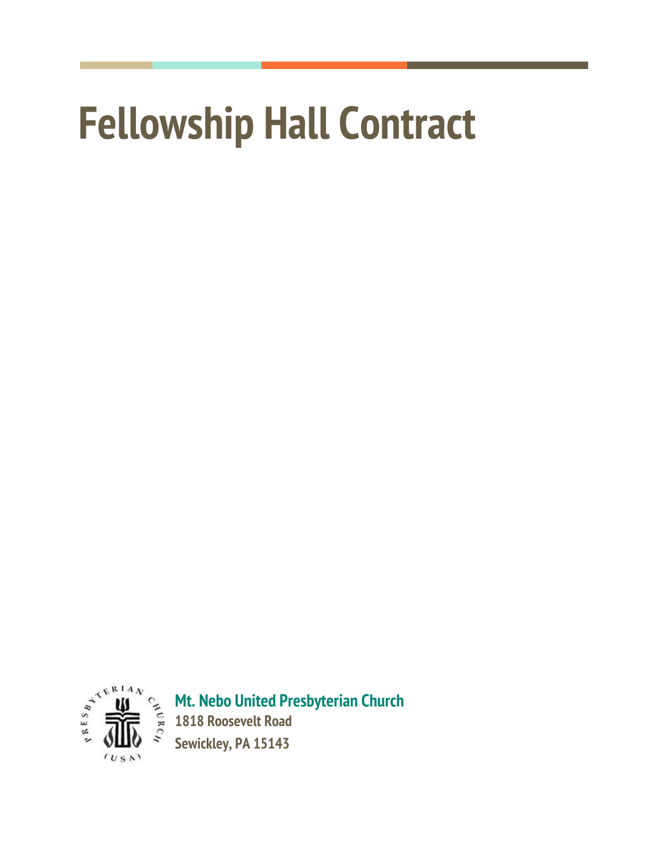# **Fellowship Hall Contract**



**Mt. Nebo United Presbyterian Church 1818 Roosevelt Road**

**Sewickley, PA 15143**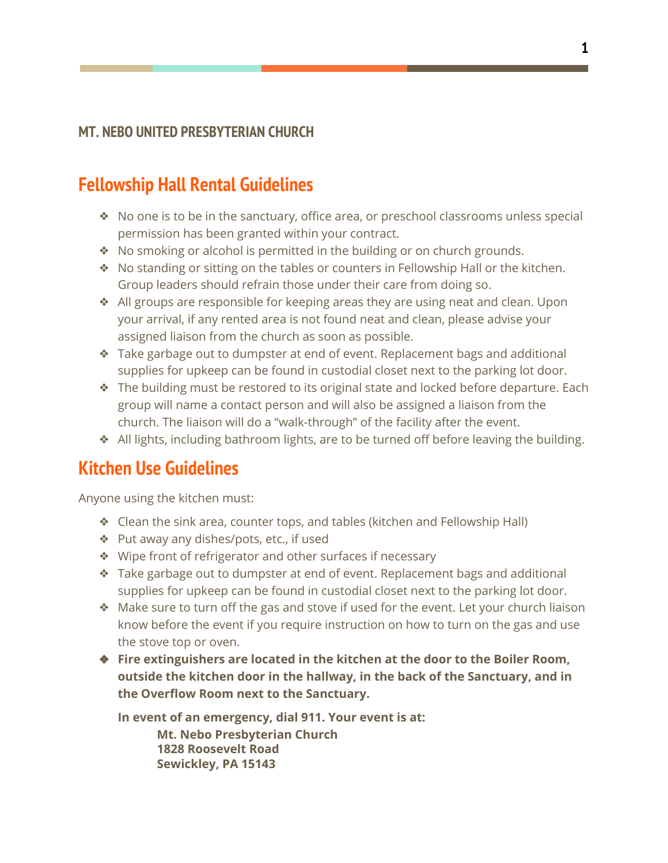## **Fellowship Hall Rental Guidelines**

- ❖ No one is to be in the sanctuary, office area, or preschool classrooms unless special permission has been granted within your contract.
- ❖ No smoking or alcohol is permitted in the building or on church grounds.
- ❖ No standing or sitting on the tables or counters in Fellowship Hall or the kitchen. Group leaders should refrain those under their care from doing so.
- ❖ All groups are responsible for keeping areas they are using neat and clean. Upon your arrival, if any rented area is not found neat and clean, please advise your assigned liaison from the church as soon as possible.
- ❖ Take garbage out to dumpster at end of event. Replacement bags and additional supplies for upkeep can be found in custodial closet next to the parking lot door.
- ❖ The building must be restored to its original state and locked before departure. Each group will name a contact person and will also be assigned a liaison from the church. The liaison will do a "walk-through" of the facility after the event.
- ❖ All lights, including bathroom lights, are to be turned off before leaving the building.

## **Kitchen Use Guidelines**

Anyone using the kitchen must:

- ❖ Clean the sink area, counter tops, and tables (kitchen and Fellowship Hall)
- ❖ Put away any dishes/pots, etc., if used
- ❖ Wipe front of refrigerator and other surfaces if necessary
- ❖ Take garbage out to dumpster at end of event. Replacement bags and additional supplies for upkeep can be found in custodial closet next to the parking lot door.
- ❖ Make sure to turn off the gas and stove if used for the event. Let your church liaison know before the event if you require instruction on how to turn on the gas and use the stove top or oven.
- ❖ **Fire extinguishers are located in the kitchen at the door to the Boiler Room, outside the kitchen door in the hallway, in the back of the Sanctuary, and in the Overflow Room next to the Sanctuary.**

**In event of an emergency, dial 911. Your event is at: Mt. Nebo Presbyterian Church 1828 Roosevelt Road Sewickley, PA 15143**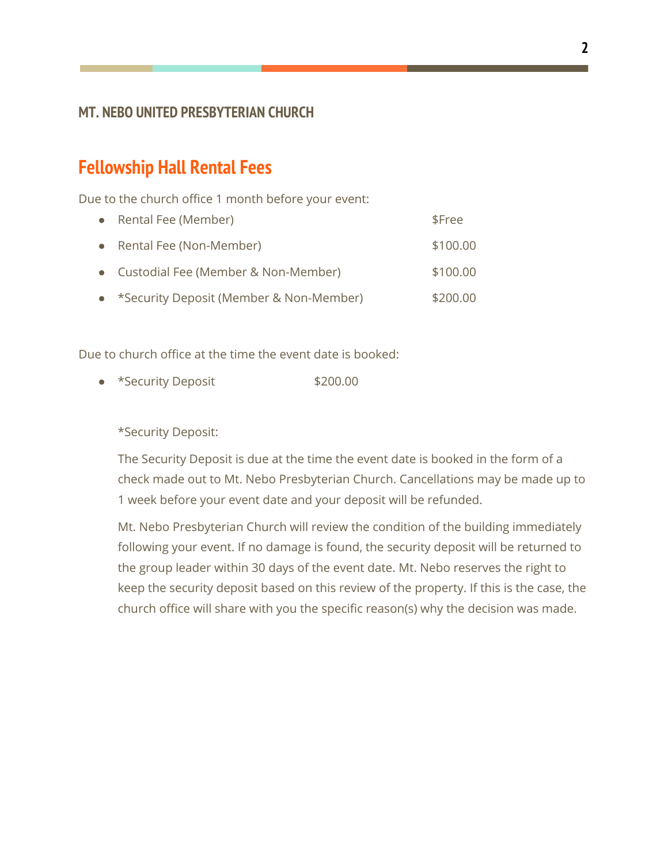### **Fellowship Hall Rental Fees**

Due to the church office 1 month before your event:

| • Rental Fee (Member)                     | \$Free   |
|-------------------------------------------|----------|
| • Rental Fee (Non-Member)                 | \$100.00 |
| • Custodial Fee (Member & Non-Member)     | \$100.00 |
| • *Security Deposit (Member & Non-Member) | \$200.00 |

Due to church office at the time the event date is booked:

● \*Security Deposit \$200.00

\*Security Deposit:

The Security Deposit is due at the time the event date is booked in the form of a check made out to Mt. Nebo Presbyterian Church. Cancellations may be made up to 1 week before your event date and your deposit will be refunded.

Mt. Nebo Presbyterian Church will review the condition of the building immediately following your event. If no damage is found, the security deposit will be returned to the group leader within 30 days of the event date. Mt. Nebo reserves the right to keep the security deposit based on this review of the property. If this is the case, the church office will share with you the specific reason(s) why the decision was made.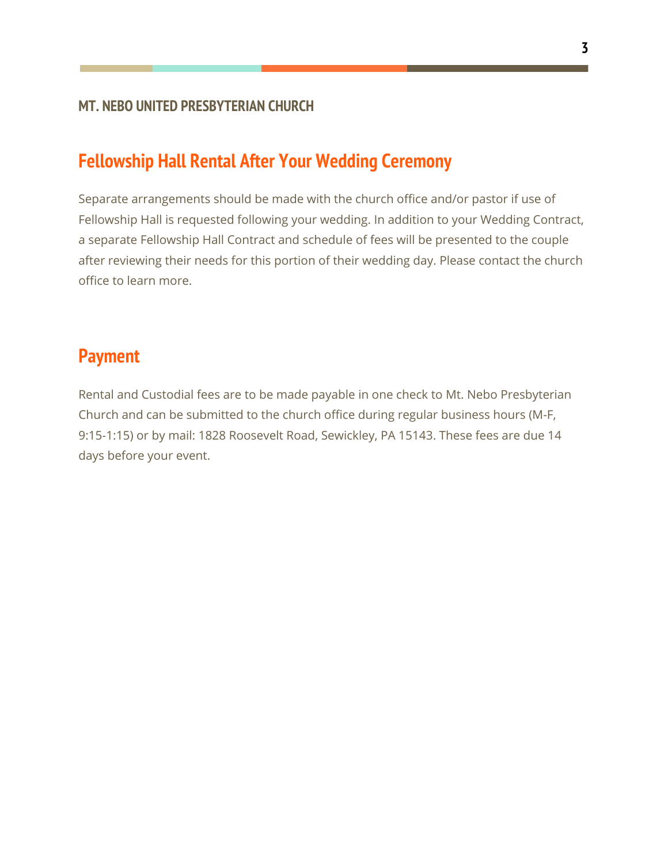## **Fellowship Hall Rental After Your Wedding Ceremony**

Separate arrangements should be made with the church office and/or pastor if use of Fellowship Hall is requested following your wedding. In addition to your Wedding Contract, a separate Fellowship Hall Contract and schedule of fees will be presented to the couple after reviewing their needs for this portion of their wedding day. Please contact the church office to learn more.

## **Payment**

Rental and Custodial fees are to be made payable in one check to Mt. Nebo Presbyterian Church and can be submitted to the church office during regular business hours (M-F, 9:15-1:15) or by mail: 1828 Roosevelt Road, Sewickley, PA 15143. These fees are due 14 days before your event.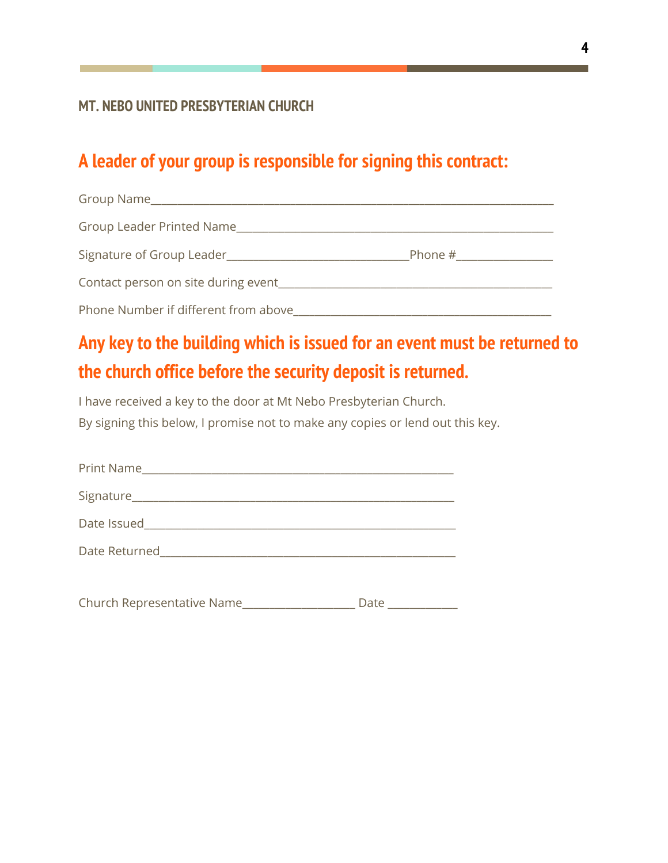## **A leader of your group is responsible for signing this contract:**

| Group Name_                          |         |  |
|--------------------------------------|---------|--|
| Group Leader Printed Name            |         |  |
| Signature of Group Leader            | Phone # |  |
| Contact person on site during event  |         |  |
| Phone Number if different from above |         |  |

## **Any key to the building which is issued for an event must be returned to the church office before the security deposit is returned.**

I have received a key to the door at Mt Nebo Presbyterian Church. By signing this below, I promise not to make any copies or lend out this key.

| Print Name |  |
|------------|--|
|            |  |
|            |  |
|            |  |
|            |  |

Church Representative Name\_\_\_\_\_\_\_\_\_\_\_\_\_\_\_\_\_\_\_\_\_\_\_ Date \_\_\_\_\_\_\_\_\_\_\_\_\_\_\_\_\_\_\_\_\_\_\_\_\_